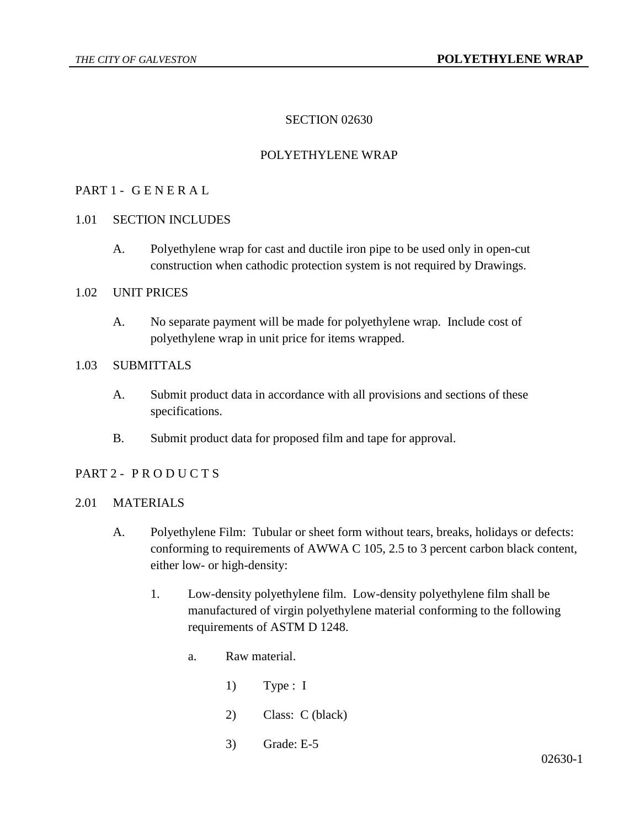# SECTION 02630

# POLYETHYLENE WRAP

### PART 1 - G E N E R A L

- 1.01 SECTION INCLUDES
	- A. Polyethylene wrap for cast and ductile iron pipe to be used only in open-cut construction when cathodic protection system is not required by Drawings.

#### 1.02 UNIT PRICES

A. No separate payment will be made for polyethylene wrap. Include cost of polyethylene wrap in unit price for items wrapped.

### 1.03 SUBMITTALS

- A. Submit product data in accordance with all provisions and sections of these specifications.
- B. Submit product data for proposed film and tape for approval.

### PART 2 - PRODUCTS

### 2.01 MATERIALS

- A. Polyethylene Film: Tubular or sheet form without tears, breaks, holidays or defects: conforming to requirements of AWWA C 105, 2.5 to 3 percent carbon black content, either low- or high-density:
	- 1. Low-density polyethylene film. Low-density polyethylene film shall be manufactured of virgin polyethylene material conforming to the following requirements of ASTM D 1248.
		- a. Raw material.
			- 1) Type : I
			- 2) Class: C (black)
			- 3) Grade: E-5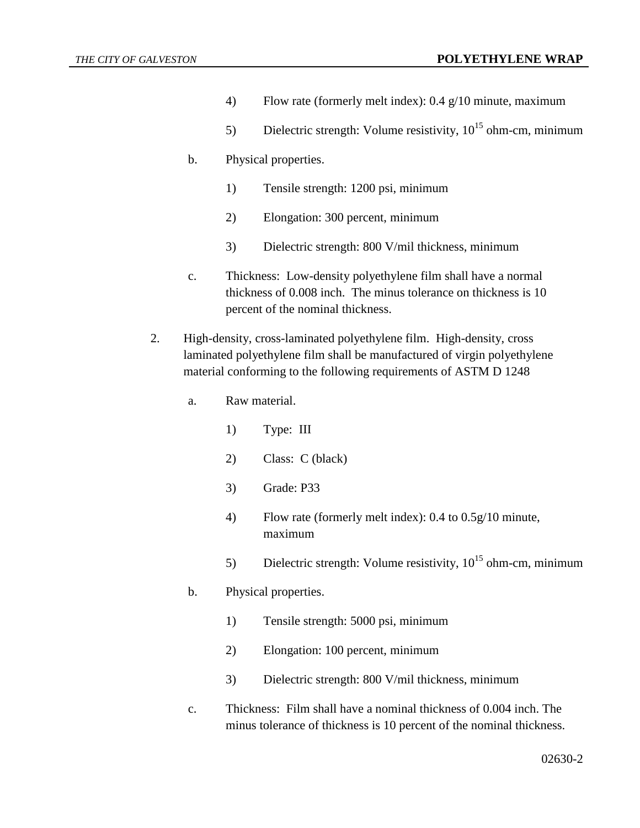- 4) Flow rate (formerly melt index): 0.4 g/10 minute, maximum
- 5) Dielectric strength: Volume resistivity,  $10^{15}$  ohm-cm, minimum
- b. Physical properties.
	- 1) Tensile strength: 1200 psi, minimum
	- 2) Elongation: 300 percent, minimum
	- 3) Dielectric strength: 800 V/mil thickness, minimum
- c. Thickness: Low-density polyethylene film shall have a normal thickness of 0.008 inch. The minus tolerance on thickness is 10 percent of the nominal thickness.
- 2. High-density, cross-laminated polyethylene film. High-density, cross laminated polyethylene film shall be manufactured of virgin polyethylene material conforming to the following requirements of ASTM D 1248
	- a. Raw material.
		- 1) Type: III
		- 2) Class: C (black)
		- 3) Grade: P33
		- 4) Flow rate (formerly melt index): 0.4 to 0.5g/10 minute, maximum
		- 5) Dielectric strength: Volume resistivity,  $10^{15}$  ohm-cm, minimum
	- b. Physical properties.
		- 1) Tensile strength: 5000 psi, minimum
		- 2) Elongation: 100 percent, minimum
		- 3) Dielectric strength: 800 V/mil thickness, minimum
	- c. Thickness: Film shall have a nominal thickness of 0.004 inch. The minus tolerance of thickness is 10 percent of the nominal thickness.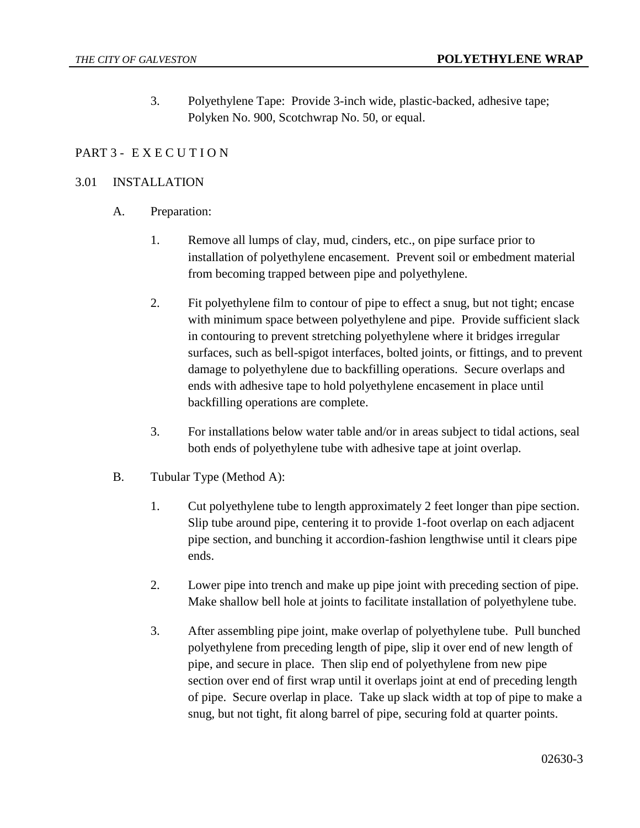3. Polyethylene Tape: Provide 3-inch wide, plastic-backed, adhesive tape; Polyken No. 900, Scotchwrap No. 50, or equal.

## PART 3 - EXECUTION

### 3.01 INSTALLATION

- A. Preparation:
	- 1. Remove all lumps of clay, mud, cinders, etc., on pipe surface prior to installation of polyethylene encasement. Prevent soil or embedment material from becoming trapped between pipe and polyethylene.
	- 2. Fit polyethylene film to contour of pipe to effect a snug, but not tight; encase with minimum space between polyethylene and pipe. Provide sufficient slack in contouring to prevent stretching polyethylene where it bridges irregular surfaces, such as bell-spigot interfaces, bolted joints, or fittings, and to prevent damage to polyethylene due to backfilling operations. Secure overlaps and ends with adhesive tape to hold polyethylene encasement in place until backfilling operations are complete.
	- 3. For installations below water table and/or in areas subject to tidal actions, seal both ends of polyethylene tube with adhesive tape at joint overlap.
- B. Tubular Type (Method A):
	- 1. Cut polyethylene tube to length approximately 2 feet longer than pipe section. Slip tube around pipe, centering it to provide 1-foot overlap on each adjacent pipe section, and bunching it accordion-fashion lengthwise until it clears pipe ends.
	- 2. Lower pipe into trench and make up pipe joint with preceding section of pipe. Make shallow bell hole at joints to facilitate installation of polyethylene tube.
	- 3. After assembling pipe joint, make overlap of polyethylene tube. Pull bunched polyethylene from preceding length of pipe, slip it over end of new length of pipe, and secure in place. Then slip end of polyethylene from new pipe section over end of first wrap until it overlaps joint at end of preceding length of pipe. Secure overlap in place. Take up slack width at top of pipe to make a snug, but not tight, fit along barrel of pipe, securing fold at quarter points.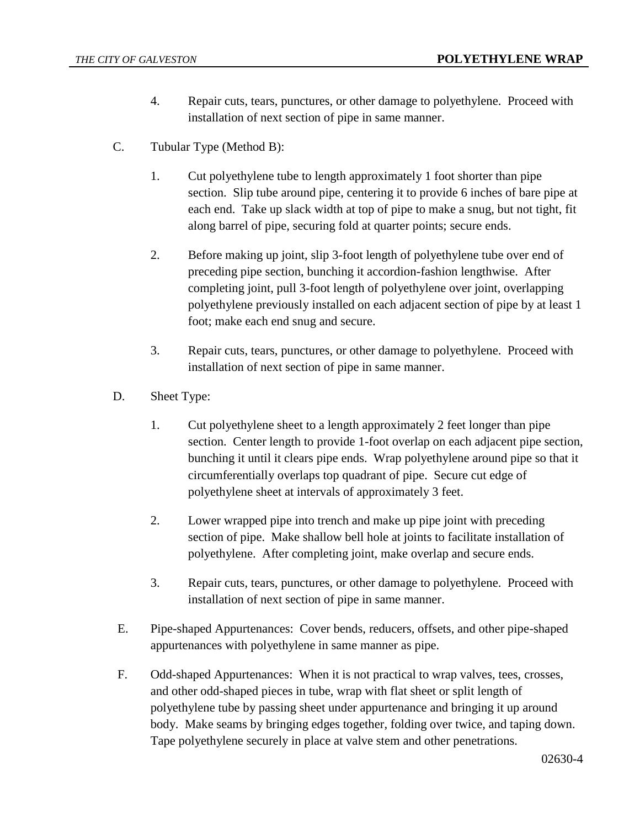- 4. Repair cuts, tears, punctures, or other damage to polyethylene. Proceed with installation of next section of pipe in same manner.
- C. Tubular Type (Method B):
	- 1. Cut polyethylene tube to length approximately 1 foot shorter than pipe section. Slip tube around pipe, centering it to provide 6 inches of bare pipe at each end. Take up slack width at top of pipe to make a snug, but not tight, fit along barrel of pipe, securing fold at quarter points; secure ends.
	- 2. Before making up joint, slip 3-foot length of polyethylene tube over end of preceding pipe section, bunching it accordion-fashion lengthwise. After completing joint, pull 3-foot length of polyethylene over joint, overlapping polyethylene previously installed on each adjacent section of pipe by at least 1 foot; make each end snug and secure.
	- 3. Repair cuts, tears, punctures, or other damage to polyethylene. Proceed with installation of next section of pipe in same manner.
- D. Sheet Type:
	- 1. Cut polyethylene sheet to a length approximately 2 feet longer than pipe section. Center length to provide 1-foot overlap on each adjacent pipe section, bunching it until it clears pipe ends. Wrap polyethylene around pipe so that it circumferentially overlaps top quadrant of pipe. Secure cut edge of polyethylene sheet at intervals of approximately 3 feet.
	- 2. Lower wrapped pipe into trench and make up pipe joint with preceding section of pipe. Make shallow bell hole at joints to facilitate installation of polyethylene. After completing joint, make overlap and secure ends.
	- 3. Repair cuts, tears, punctures, or other damage to polyethylene. Proceed with installation of next section of pipe in same manner.
- E. Pipe-shaped Appurtenances: Cover bends, reducers, offsets, and other pipe-shaped appurtenances with polyethylene in same manner as pipe.
- F. Odd-shaped Appurtenances: When it is not practical to wrap valves, tees, crosses, and other odd-shaped pieces in tube, wrap with flat sheet or split length of polyethylene tube by passing sheet under appurtenance and bringing it up around body. Make seams by bringing edges together, folding over twice, and taping down. Tape polyethylene securely in place at valve stem and other penetrations.